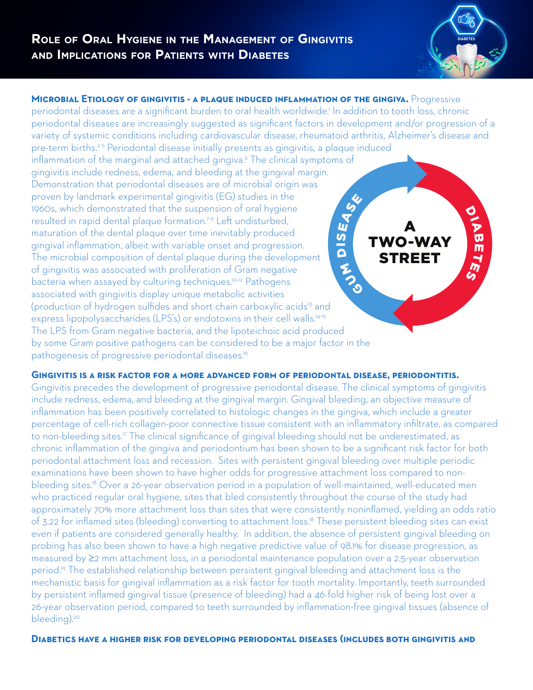

**MICROBIAL ETIOLOGY OF GINGIVITIS - A PLAQUE INDUCED INFLAMMATION OF THE GINGIVA.** Progressive periodontal diseases are a significant burden to oral health worldwide.<sup>1</sup> In addition to tooth loss, chronic periodontal diseases are increasingly suggested as significant factors in development and/or progression of a variety of systemic conditions including cardiovascular disease, rheumatoid arthritis, Alzheimer's disease and pre-term births.2-5 Periodontal disease initially presents as gingivitis, a plaque induced inflammation of the marginal and attached gingiva.6 The clinical symptoms of gingivitis include redness, edema, and bleeding at the gingival margin. Demonstration that periodontal diseases are of microbial origin was proven by landmark experimental gingivitis (EG) studies in the 1960s, which demonstrated that the suspension of oral hygiene resulted in rapid dental plaque formation.7-9 Left undisturbed, maturation of the dental plaque over time inevitably produced gingival inflammation, albeit with variable onset and progression. The microbial composition of dental plaque during the development of gingivitis was associated with proliferation of Gram negative bacteria when assayed by culturing techniques.<sup>10-12</sup> Pathogens associated with gingivitis display unique metabolic activities (production of hydrogen sulfides and short chain carboxylic acids<sup>13</sup> and express lipopolysaccharides (LPS's) or endotoxins in their cell walls.<sup>14-15</sup> The LPS from Gram negative bacteria, and the lipoteichoic acid produced by some Gram positive pathogens can be considered to be a major factor in the pathogenesis of progressive periodontal diseases.<sup>16</sup> O<br>P  $\boldsymbol{\mathsf{w}}$ m  $\blacktriangleright$  $\mathcal{E}$ ENGINE <u>က</u><br>ဝ EASE A TWO-WAY STREET

**Gingivitis is a risk factor for a more advanced form of periodontal disease, periodontitis.**

Gingivitis precedes the development of progressive periodontal disease. The clinical symptoms of gingivitis include redness, edema, and bleeding at the gingival margin. Gingival bleeding, an objective measure of inflammation has been positively correlated to histologic changes in the gingiva, which include a greater percentage of cell-rich collagen-poor connective tissue consistent with an inflammatory infiltrate, as compared to non-bleeding sites.<sup>17</sup> The clinical significance of gingival bleeding should not be underestimated, as chronic inflammation of the gingiva and periodontium has been shown to be a significant risk factor for both periodontal attachment loss and recession. Sites with persistent gingival bleeding over multiple periodic examinations have been shown to have higher odds for progressive attachment loss compared to nonbleeding sites.<sup>18</sup> Over a 26-year observation period in a population of well-maintained, well-educated men who practiced regular oral hygiene, sites that bled consistently throughout the course of the study had approximately 70% more attachment loss than sites that were consistently noninflamed, yielding an odds ratio of 3.22 for inflamed sites (bleeding) converting to attachment loss.<sup>18</sup> These persistent bleeding sites can exist even if patients are considered generally healthy. In addition, the absence of persistent gingival bleeding on probing has also been shown to have a high negative predictive value of 98.1% for disease progression, as measured by ≥2 mm attachment loss, in a periodontal maintenance population over a 2.5-year observation period.<sup>19</sup> The established relationship between persistent gingival bleeding and attachment loss is the mechanistic basis for gingival inflammation as a risk factor for tooth mortality. Importantly, teeth surrounded by persistent inflamed gingival tissue (presence of bleeding) had a 46-fold higher risk of being lost over a 26-year observation period, compared to teeth surrounded by inflammation-free gingival tissues (absence of bleeding).<sup>20</sup>

## **Diabetics have a higher risk for developing periodontal diseases (includes both gingivitis and**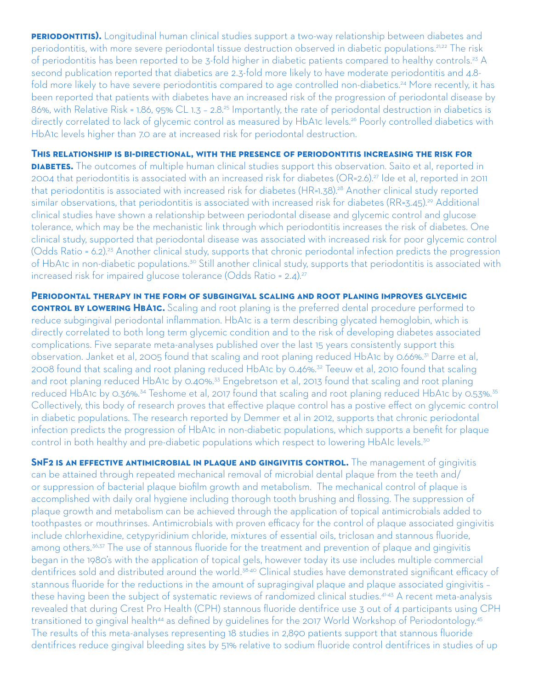**PERIODONTITIS).** Longitudinal human clinical studies support a two-way relationship between diabetes and periodontitis, with more severe periodontal tissue destruction observed in diabetic populations.21,22 The risk of periodontitis has been reported to be 3-fold higher in diabetic patients compared to healthy controls.<sup>23</sup> A second publication reported that diabetics are 2.3-fold more likely to have moderate periodontitis and 4.8 fold more likely to have severe periodontitis compared to age controlled non-diabetics.<sup>24</sup> More recently, it has been reported that patients with diabetes have an increased risk of the progression of periodontal disease by 86%, with Relative Risk = 1.86, 95% CL 1.3 – 2.8.25 Importantly, the rate of periodontal destruction in diabetics is directly correlated to lack of glycemic control as measured by HbA1c levels.<sup>26</sup> Poorly controlled diabetics with HbA1c levels higher than 7.0 are at increased risk for periodontal destruction.

## **This relationship is bi-directional, with the presence of periodontitis increasing the risk for**

**DIABETES.** The outcomes of multiple human clinical studies support this observation. Saito et al, reported in 2004 that periodontitis is associated with an increased risk for diabetes (OR=2.6).27 Ide et al, reported in 2011 that periodontitis is associated with increased risk for diabetes (HR=1.38).<sup>28</sup> Another clinical study reported similar observations, that periodontitis is associated with increased risk for diabetes (RR=3.45).<sup>29</sup> Additional clinical studies have shown a relationship between periodontal disease and glycemic control and glucose tolerance, which may be the mechanistic link through which periodontitis increases the risk of diabetes. One clinical study, supported that periodontal disease was associated with increased risk for poor glycemic control (Odds Ratio = 6.2).23 Another clinical study, supports that chronic periodontal infection predicts the progression of HbA1c in non-diabetic populations.<sup>30</sup> Still another clinical study, supports that periodontitis is associated with increased risk for impaired glucose tolerance (Odds Ratio = 2.4).<sup>27</sup>

**Periodontal therapy in the form of subgingival scaling and root planing improves glycemic control by LOWERING HBA1C.** Scaling and root planing is the preferred dental procedure performed to reduce subgingival periodontal inflammation. HbA1c is a term describing glycated hemoglobin, which is directly correlated to both long term glycemic condition and to the risk of developing diabetes associated complications. Five separate meta-analyses published over the last 15 years consistently support this observation. Janket et al, 2005 found that scaling and root planing reduced HbA1c by 0.66%.<sup>31</sup> Darre et al, 2008 found that scaling and root planing reduced HbA1c by 0.46%.32 Teeuw et al, 2010 found that scaling and root planing reduced HbA1c by 0.40%.<sup>33</sup> Engebretson et al, 2013 found that scaling and root planing reduced HbA1c by 0.36%.<sup>34</sup> Teshome et al, 2017 found that scaling and root planing reduced HbA1c by 0.53%.<sup>35</sup> Collectively, this body of research proves that effective plaque control has a postive effect on glycemic control in diabetic populations. The research reported by Demmer et al in 2012, supports that chronic periodontal infection predicts the progression of HbA1c in non-diabetic populations, which supports a benefit for plaque control in both healthy and pre-diabetic populations which respect to lowering HbAIc levels.<sup>30</sup>

**SNF2 IS AN EFFECTIVE ANTIMICROBIAL IN PLAQUE AND GINGIVITIS CONTROL.** The management of gingivitis can be attained through repeated mechanical removal of microbial dental plaque from the teeth and/ or suppression of bacterial plaque biofilm growth and metabolism. The mechanical control of plaque is accomplished with daily oral hygiene including thorough tooth brushing and flossing. The suppression of plaque growth and metabolism can be achieved through the application of topical antimicrobials added to toothpastes or mouthrinses. Antimicrobials with proven efficacy for the control of plaque associated gingivitis include chlorhexidine, cetypyridinium chloride, mixtures of essential oils, triclosan and stannous fluoride, among others.<sup>36,37</sup> The use of stannous fluoride for the treatment and prevention of plaque and gingivitis began in the 1980's with the application of topical gels, however today its use includes multiple commercial dentifrices sold and distributed around the world.<sup>38-40</sup> Clinical studies have demonstrated significant efficacy of stannous fluoride for the reductions in the amount of supragingival plaque and plaque associated gingivitis – these having been the subject of systematic reviews of randomized clinical studies.41-43 A recent meta-analysis revealed that during Crest Pro Health (CPH) stannous fluoride dentifrice use 3 out of 4 participants using CPH transitioned to gingival health<sup>44</sup> as defined by guidelines for the 2017 World Workshop of Periodontology.<sup>45</sup> The results of this meta-analyses representing 18 studies in 2,890 patients support that stannous fluoride dentifrices reduce gingival bleeding sites by 51% relative to sodium fluoride control dentifrices in studies of up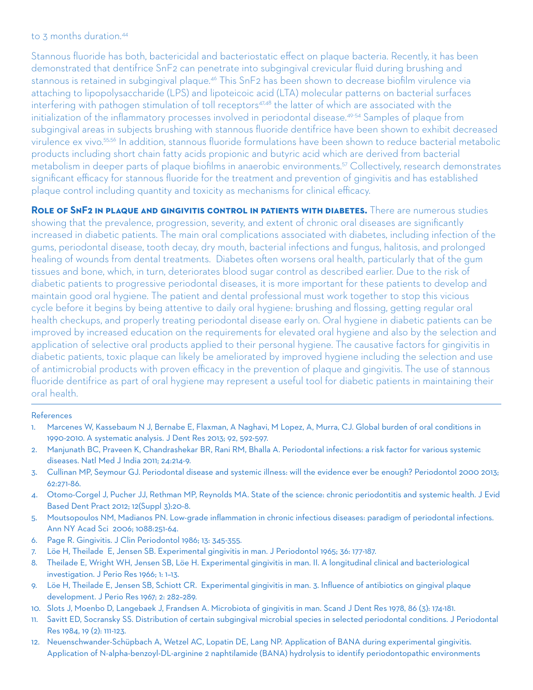## to 3 months duration.<sup>44</sup>

Stannous fluoride has both, bactericidal and bacteriostatic effect on plaque bacteria. Recently, it has been demonstrated that dentifrice SnF2 can penetrate into subgingival crevicular fluid during brushing and stannous is retained in subgingival plaque.<sup>46</sup> This SnF2 has been shown to decrease biofilm virulence via attaching to lipopolysaccharide (LPS) and lipoteicoic acid (LTA) molecular patterns on bacterial surfaces interfering with pathogen stimulation of toll receptors<sup>47,48</sup> the latter of which are associated with the initialization of the inflammatory processes involved in periodontal disease.<sup>49-54</sup> Samples of plaque from subgingival areas in subjects brushing with stannous fluoride dentifrice have been shown to exhibit decreased virulence ex vivo.<sup>55,56</sup> In addition, stannous fluoride formulations have been shown to reduce bacterial metabolic products including short chain fatty acids propionic and butyric acid which are derived from bacterial metabolism in deeper parts of plaque biofilms in anaerobic environments.57 Collectively, research demonstrates significant efficacy for stannous fluoride for the treatment and prevention of gingivitis and has established plaque control including quantity and toxicity as mechanisms for clinical efficacy.

**Role of SnF2 in plaque and gingivitis control in patients with diabetes.** There are numerous studies showing that the prevalence, progression, severity, and extent of chronic oral diseases are significantly increased in diabetic patients. The main oral complications associated with diabetes, including infection of the gums, periodontal disease, tooth decay, dry mouth, bacterial infections and fungus, halitosis, and prolonged healing of wounds from dental treatments. Diabetes often worsens oral health, particularly that of the gum tissues and bone, which, in turn, deteriorates blood sugar control as described earlier. Due to the risk of diabetic patients to progressive periodontal diseases, it is more important for these patients to develop and maintain good oral hygiene. The patient and dental professional must work together to stop this vicious cycle before it begins by being attentive to daily oral hygiene: brushing and flossing, getting regular oral health checkups, and properly treating periodontal disease early on. Oral hygiene in diabetic patients can be improved by increased education on the requirements for elevated oral hygiene and also by the selection and application of selective oral products applied to their personal hygiene. The causative factors for gingivitis in diabetic patients, toxic plaque can likely be ameliorated by improved hygiene including the selection and use of antimicrobial products with proven efficacy in the prevention of plaque and gingivitis. The use of stannous fluoride dentifrice as part of oral hygiene may represent a useful tool for diabetic patients in maintaining their oral health.

## References

- 1. Marcenes W, Kassebaum N J, Bernabe E, Flaxman, A Naghavi, M Lopez, A, Murra, CJ. Global burden of oral conditions in 1990-2010. A systematic analysis. J Dent Res 2013; 92, 592-597.
- 2. Manjunath BC, Praveen K, Chandrashekar BR, Rani RM, Bhalla A. Periodontal infections: a risk factor for various systemic diseases. Natl Med J India 2011; 24:214-9.
- 3. Cullinan MP, Seymour GJ. Periodontal disease and systemic illness: will the evidence ever be enough? Periodontol 2000 2013; 62:271-86.
- 4. Otomo-Corgel J, Pucher JJ, Rethman MP, Reynolds MA. State of the science: chronic periodontitis and systemic health. J Evid Based Dent Pract 2012; 12(Suppl 3):20-8.
- 5. Moutsopoulos NM, Madianos PN. Low-grade inflammation in chronic infectious diseases: paradigm of periodontal infections. Ann NY Acad Sci 2006; 1088:251-64.
- 6. Page R. Gingivitis. J Clin Periodontol 1986; 13: 345-355.
- 7. Löe H, Theilade E, Jensen SB. Experimental gingivitis in man. J Periodontol 1965; 36: 177-187.
- 8. Theilade E, Wright WH, Jensen SB, Löe H. Experimental gingivitis in man. II. A longitudinal clinical and bacteriological investigation. J Perio Res 1966; 1: 1–13.
- 9. Löe H, Theilade E, Jensen SB, Schiott CR. Experimental gingivitis in man. 3. Influence of antibiotics on gingival plaque development. J Perio Res 1967; 2: 282–289.
- 10. Slots J, Moenbo D, Langebaek J, Frandsen A. Microbiota of gingivitis in man. Scand J Dent Res 1978, 86 (3): 174-181.
- 11. Savitt ED, Socransky SS. Distribution of certain subgingival microbial species in selected periodontal conditions. J Periodontal Res 1984, 19 (2): 111-123.
- 12. Neuenschwander-Schüpbach A, Wetzel AC, Lopatin DE, Lang NP. Application of BANA during experimental gingivitis. Application of N-alpha-benzoyl-DL-arginine 2 naphtilamide (BANA) hydrolysis to identify periodontopathic environments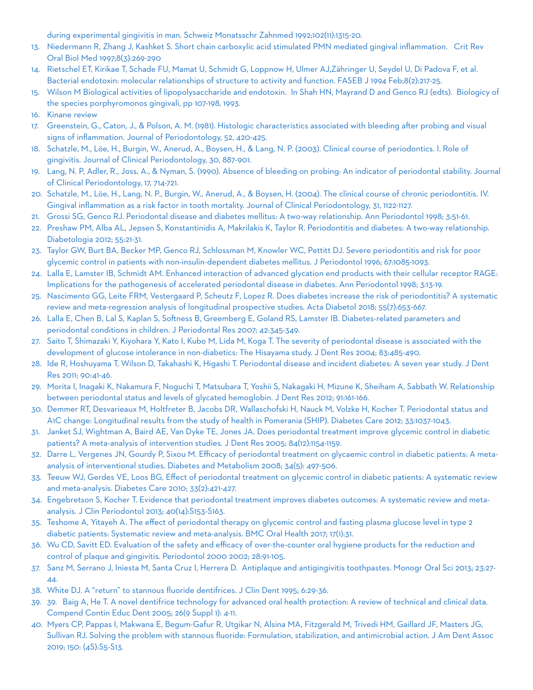during experimental gingivitis in man. Schweiz Monatsschr Zahnmed 1992;102(11):1315-20.

- 13. Niedermann R, Zhang J, Kashket S. Short chain carboxylic acid stimulated PMN mediated gingival inflammation. Crit Rev Oral Biol Med 1997;8(3):269-290
- 14. Rietschel ET, Kirikae T, Schade FU, Mamat U, Schmidt G, Loppnow H, Ulmer AJ,Zähringer U, Seydel U, Di Padova F, et al. Bacterial endotoxin: molecular relationships of structure to activity and function. FASEB J 1994 Feb;8(2):217-25.
- 15. Wilson M Biological activities of lipopolysaccharide and endotoxin. In Shah HN, Mayrand D and Genco RJ (edts). Biologicy of the species porphyromonos gingivali, pp 107-198, 1993.
- 16. Kinane review
- 17. Greenstein, G., Caton, J., & Polson, A. M. (1981). Histologic characteristics associated with bleeding after probing and visual signs of inflammation. Journal of Periodontology, 52, 420-425.
- 18. Schatzle, M., Löe, H., Burgin, W., Anerud, A., Boysen, H., & Lang, N. P. (2003). Clinical course of periodontics. I. Role of gingivitis. Journal of Clinical Periodontology, 30, 887-901.
- 19. Lang, N. P, Adler, R., Joss, A., & Nyman, S. (1990). Absence of bleeding on probing: An indicator of periodontal stability. Journal of Clinical Periodontology, 17, 714-721.
- 20. Schatzle, M., Löe, H., Lang, N. P., Burgin, W., Anerud, A., & Boysen, H. (2004). The clinical course of chronic periodontitis. IV. Gingival inflammation as a risk factor in tooth mortality. Journal of Clinical Periodontology, 31, 1122-1127.
- 21. Grossi SG, Genco RJ. Periodontal disease and diabetes mellitus: A two-way relationship. Ann Periodontol 1998; 3:51-61.
- 22. Preshaw PM, Alba AL, Jepsen S, Konstantinidis A, Makrilakis K, Taylor R. Periodontitis and diabetes: A two-way relationship. Diabetologia 2012; 55:21-31.
- 23. Taylor GW, Burt BA, Becker MP, Genco RJ, Schlossman M, Knowler WC, Pettitt DJ. Severe periodontitis and risk for poor glycemic control in patients with non-insulin-dependent diabetes mellitus. J Periodontol 1996; 67:1085-1093.
- 24. Lalla E, Lamster IB, Schmidt AM. Enhanced interaction of advanced glycation end products with their cellular receptor RAGE: Implications for the pathogenesis of accelerated periodontal disease in diabetes. Ann Periodontol 1998; 3:13-19.
- 25. Nascimento GG, Leite FRM, Vestergaard P, Scheutz F, Lopez R. Does diabetes increase the risk of periodontitis? A systematic review and meta-regression analysis of longitudinal prospective studies. Acta Diabetol 2018; 55(7):653-667.
- 26. Lalla E, Chen B, Lal S, Kaplan S, Softness B, Greemberg E, Goland RS, Lamster IB. Diabetes-related parameters and periodontal conditions in children. J Periodontal Res 2007; 42:345-349.
- 27. Saito T, Shimazaki Y, Kiyohara Y, Kato I, Kubo M, Lida M, Koga T. The severity of periodontal disease is associated with the development of glucose intolerance in non-diabetics: The Hisayama study. J Dent Res 2004; 83:485-490.
- 28. Ide R, Hoshuyama T, Wilson D, Takahashi K, Higashi T. Periodontal disease and incident diabetes: A seven year study. J Dent Res 2011; 90:41-46.
- 29. Morita I, Inagaki K, Nakamura F, Noguchi T, Matsubara T, Yoshii S, Nakagaki H, Mizune K, Sheiham A, Sabbath W. Relationship between periodontal status and levels of glycated hemoglobin. J Dent Res 2012; 91:161-166.
- 30. Demmer RT, Desvarieaux M, Holtfreter B, Jacobs DR, Wallaschofski H, Nauck M, Volzke H, Kocher T. Periodontal status and A1C change: Longitudinal results from the study of health in Pomerania (SHIP). Diabetes Care 2012; 33:1037-1043.
- 31. Janket SJ, Wightman A, Baird AE, Van Dyke TE, Jones JA. Does periodontal treatment improve glycemic control in diabetic patients? A meta-analysis of intervention studies. J Dent Res 2005; 84(12):1154-1159.
- 32. Darre L, Vergenes JN, Gourdy P, Sixou M. Efficacy of periodontal treatment on glycaemic control in diabetic patients: A metaanalysis of interventional studies. Diabetes and Metabolism 2008; 34(5): 497-506.
- 33. Teeuw WJ, Gerdes VE, Loos BG, Effect of periodontal treatment on glycemic control in diabetic patients: A systematic review and meta-analysis. Diabetes Care 2010; 33(2):421-427.
- 34. Engebretson S, Kocher T. Evidence that periodontal treatment improves diabetes outcomes: A systematic review and metaanalysis. J Clin Periodontol 2013; 40(14):S153-S163.
- 35. Teshome A, Yitayeh A. The effect of periodontal therapy on glycemic control and fasting plasma glucose level in type 2 diabetic patients: Systematic review and meta-analysis. BMC Oral Health 2017; 17(1):31.
- 36. Wu CD, Savitt ED. Evaluation of the safety and efficacy of over-the-counter oral hygiene products for the reduction and control of plaque and gingivitis. Periodontol 2000 2002; 28:91-105.
- 37. Sanz M, Serrano J, Iniesta M, Santa Cruz I, Herrera D. Antiplaque and antigingivitis toothpastes. Monogr Oral Sci 2013; 23:27-  $\Delta\Delta$ .
- 38. White DJ. A "return" to stannous fluoride dentifrices. J Clin Dent 1995; 6:29-36.
- 39. 39. Baig A, He T. A novel dentifrice technology for advanced oral health protection: A review of technical and clinical data. Compend Contin Educ Dent 2005; 26(9 Suppl 1): 4-11.
- 40. Myers CP, Pappas I, Makwana E, Begum-Gafur R, Utgikar N, Alsina MA, Fitzgerald M, Trivedi HM, Gaillard JF, Masters JG, Sullivan RJ. Solving the problem with stannous fluoride: Formulation, stabilization, and antimicrobial action. J Am Dent Assoc 2019; 150: (4S):S5-S13.